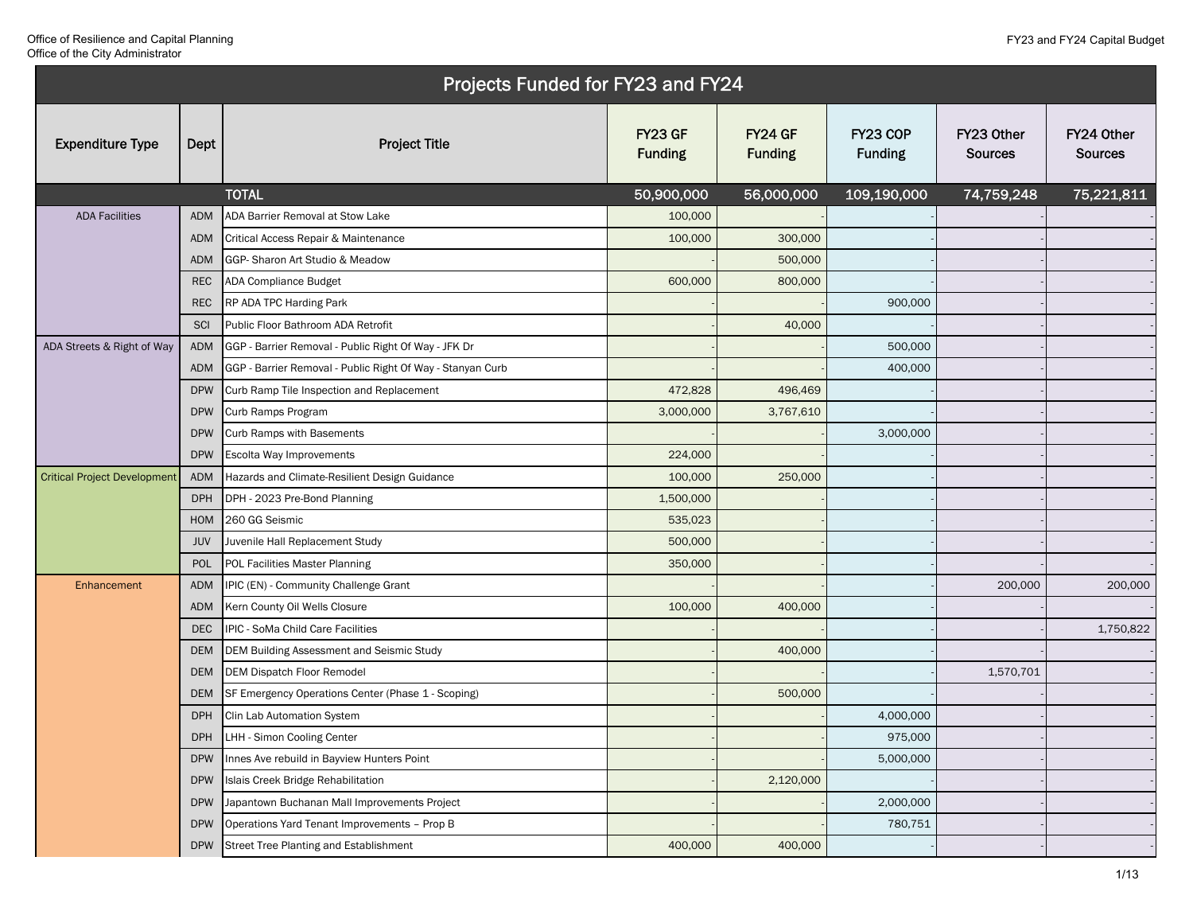|                                     |            | Projects Funded for FY23 and FY24                          |                           |                                  |                            |                              |                              |
|-------------------------------------|------------|------------------------------------------------------------|---------------------------|----------------------------------|----------------------------|------------------------------|------------------------------|
| <b>Expenditure Type</b>             | Dept       | <b>Project Title</b>                                       | FY23 GF<br><b>Funding</b> | <b>FY24 GF</b><br><b>Funding</b> | FY23 COP<br><b>Funding</b> | FY23 Other<br><b>Sources</b> | FY24 Other<br><b>Sources</b> |
|                                     |            | <b>TOTAL</b>                                               | 50,900,000                | 56,000,000                       | 109,190,000                | 74,759,248                   | 75,221,811                   |
| <b>ADA Facilities</b>               | ADM        | ADA Barrier Removal at Stow Lake                           | 100,000                   |                                  |                            |                              |                              |
|                                     | <b>ADM</b> | Critical Access Repair & Maintenance                       | 100,000                   | 300,000                          |                            |                              |                              |
|                                     | <b>ADM</b> | GGP-Sharon Art Studio & Meadow                             |                           | 500,000                          |                            |                              |                              |
|                                     | <b>REC</b> | ADA Compliance Budget                                      | 600,000                   | 800,000                          |                            |                              |                              |
|                                     | <b>REC</b> | RP ADA TPC Harding Park                                    |                           |                                  | 900,000                    |                              |                              |
|                                     | SCI        | Public Floor Bathroom ADA Retrofit                         |                           | 40,000                           |                            |                              |                              |
| ADA Streets & Right of Way          | <b>ADM</b> | GGP - Barrier Removal - Public Right Of Way - JFK Dr       |                           |                                  | 500,000                    |                              |                              |
|                                     | <b>ADM</b> | GGP - Barrier Removal - Public Right Of Way - Stanyan Curb |                           |                                  | 400,000                    |                              |                              |
|                                     | <b>DPW</b> | Curb Ramp Tile Inspection and Replacement                  | 472,828                   | 496,469                          |                            |                              |                              |
|                                     | <b>DPW</b> | Curb Ramps Program                                         | 3,000,000                 | 3,767,610                        |                            |                              |                              |
|                                     | <b>DPW</b> | <b>Curb Ramps with Basements</b>                           |                           |                                  | 3,000,000                  |                              |                              |
|                                     | <b>DPW</b> | Escolta Way Improvements                                   | 224,000                   |                                  |                            |                              |                              |
| <b>Critical Project Development</b> | <b>ADM</b> | Hazards and Climate-Resilient Design Guidance              | 100,000                   | 250,000                          |                            |                              |                              |
|                                     | <b>DPH</b> | DPH - 2023 Pre-Bond Planning                               | 1,500,000                 |                                  |                            |                              |                              |
|                                     | <b>HOM</b> | 260 GG Seismic                                             | 535,023                   |                                  |                            |                              |                              |
|                                     | JUV        | Juvenile Hall Replacement Study                            | 500,000                   |                                  |                            |                              |                              |
|                                     | POL        | POL Facilities Master Planning                             | 350,000                   |                                  |                            |                              |                              |
| Enhancement                         | <b>ADM</b> | IPIC (EN) - Community Challenge Grant                      |                           |                                  |                            | 200,000                      | 200,000                      |
|                                     | <b>ADM</b> | Kern County Oil Wells Closure                              | 100,000                   | 400,000                          |                            |                              |                              |
|                                     | <b>DEC</b> | IPIC - SoMa Child Care Facilities                          |                           |                                  |                            |                              | 1,750,822                    |
|                                     | <b>DEM</b> | DEM Building Assessment and Seismic Study                  |                           | 400,000                          |                            |                              |                              |
|                                     | <b>DEM</b> | <b>DEM Dispatch Floor Remodel</b>                          |                           |                                  |                            | 1,570,701                    |                              |
|                                     | <b>DEM</b> | SF Emergency Operations Center (Phase 1 - Scoping)         |                           | 500,000                          |                            |                              |                              |
|                                     | <b>DPH</b> | Clin Lab Automation System                                 |                           |                                  | 4,000,000                  |                              |                              |
|                                     |            | DPH LHH - Simon Cooling Center                             |                           |                                  | 975,000                    |                              |                              |
|                                     | <b>DPW</b> | Innes Ave rebuild in Bayview Hunters Point                 |                           |                                  | 5,000,000                  |                              |                              |
|                                     | <b>DPW</b> | Islais Creek Bridge Rehabilitation                         |                           | 2,120,000                        |                            |                              |                              |
|                                     | <b>DPW</b> | Japantown Buchanan Mall Improvements Project               |                           |                                  | 2,000,000                  |                              |                              |
|                                     | <b>DPW</b> | Operations Yard Tenant Improvements - Prop B               |                           |                                  | 780,751                    |                              |                              |
|                                     | <b>DPW</b> | Street Tree Planting and Establishment                     | 400,000                   | 400,000                          |                            |                              |                              |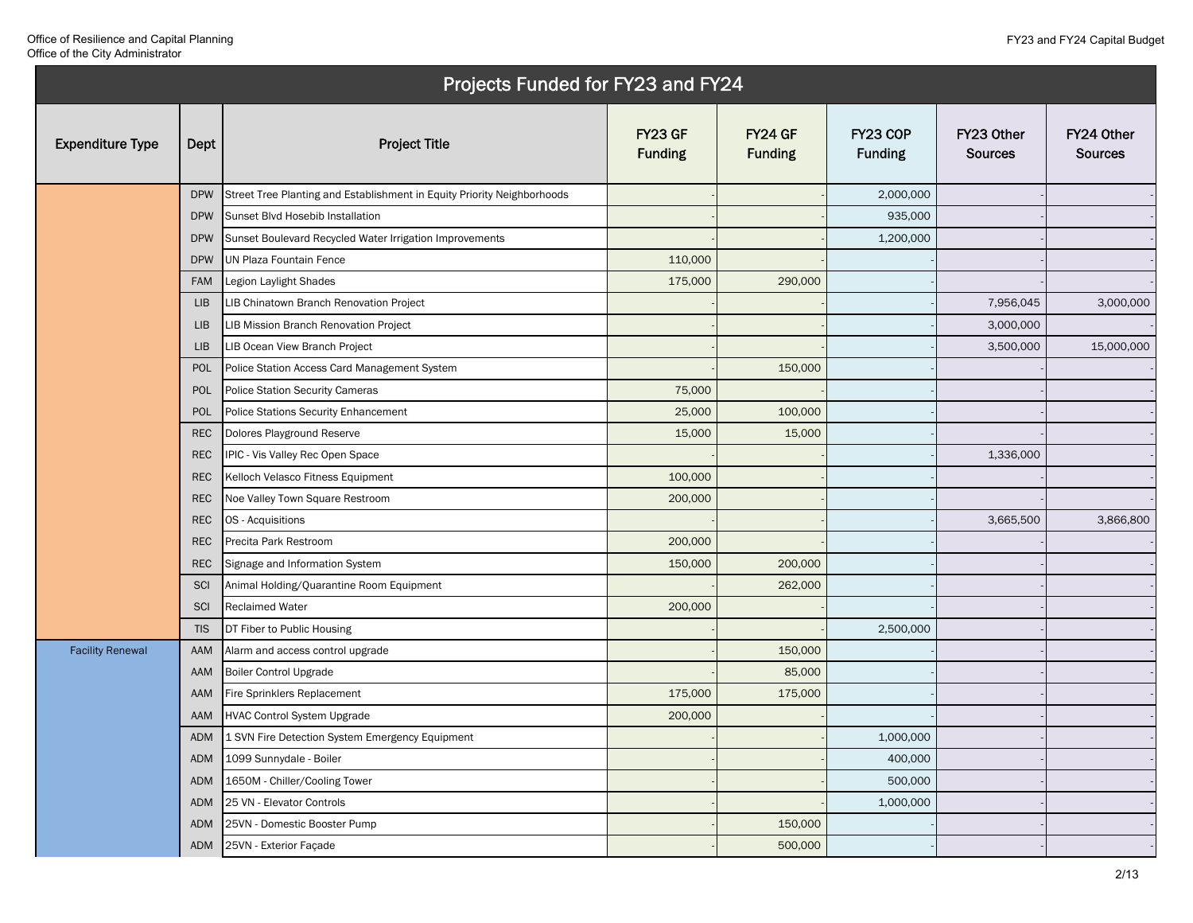|                         | Projects Funded for FY23 and FY24 |                                                                         |                                  |                           |                            |                              |                              |
|-------------------------|-----------------------------------|-------------------------------------------------------------------------|----------------------------------|---------------------------|----------------------------|------------------------------|------------------------------|
| <b>Expenditure Type</b> | Dept                              | <b>Project Title</b>                                                    | <b>FY23 GF</b><br><b>Funding</b> | FY24 GF<br><b>Funding</b> | FY23 COP<br><b>Funding</b> | FY23 Other<br><b>Sources</b> | FY24 Other<br><b>Sources</b> |
|                         | <b>DPW</b>                        | Street Tree Planting and Establishment in Equity Priority Neighborhoods |                                  |                           | 2,000,000                  |                              |                              |
|                         | <b>DPW</b>                        | Sunset Blvd Hosebib Installation                                        |                                  |                           | 935,000                    |                              |                              |
|                         | <b>DPW</b>                        | Sunset Boulevard Recycled Water Irrigation Improvements                 |                                  |                           | 1,200,000                  |                              |                              |
|                         | <b>DPW</b>                        | UN Plaza Fountain Fence                                                 | 110,000                          |                           |                            |                              |                              |
|                         | <b>FAM</b>                        | Legion Laylight Shades                                                  | 175,000                          | 290,000                   |                            |                              |                              |
|                         | <b>LIB</b>                        | LIB Chinatown Branch Renovation Project                                 |                                  |                           |                            | 7,956,045                    | 3,000,000                    |
|                         | <b>LIB</b>                        | LIB Mission Branch Renovation Project                                   |                                  |                           |                            | 3,000,000                    |                              |
|                         | <b>LIB</b>                        | LIB Ocean View Branch Project                                           |                                  |                           |                            | 3,500,000                    | 15,000,000                   |
|                         | <b>POL</b>                        | Police Station Access Card Management System                            |                                  | 150,000                   |                            |                              |                              |
|                         | POL                               | <b>Police Station Security Cameras</b>                                  | 75,000                           |                           |                            |                              |                              |
|                         | <b>POL</b>                        | Police Stations Security Enhancement                                    | 25,000                           | 100,000                   |                            |                              |                              |
|                         | <b>REC</b>                        | Dolores Playground Reserve                                              | 15,000                           | 15,000                    |                            |                              |                              |
|                         | <b>REC</b>                        | IPIC - Vis Valley Rec Open Space                                        |                                  |                           |                            | 1,336,000                    |                              |
|                         | <b>REC</b>                        | Kelloch Velasco Fitness Equipment                                       | 100,000                          |                           |                            |                              |                              |
|                         | <b>REC</b>                        | Noe Valley Town Square Restroom                                         | 200,000                          |                           |                            |                              |                              |
|                         | <b>REC</b>                        | OS - Acquisitions                                                       |                                  |                           |                            | 3,665,500                    | 3,866,800                    |
|                         | <b>REC</b>                        | Precita Park Restroom                                                   | 200,000                          |                           |                            |                              |                              |
|                         | <b>REC</b>                        | Signage and Information System                                          | 150,000                          | 200,000                   |                            |                              |                              |
|                         | <b>SCI</b>                        | Animal Holding/Quarantine Room Equipment                                |                                  | 262,000                   |                            |                              |                              |
|                         | SCI                               | <b>Reclaimed Water</b>                                                  | 200,000                          |                           |                            |                              |                              |
|                         | <b>TIS</b>                        | DT Fiber to Public Housing                                              |                                  |                           | 2,500,000                  |                              |                              |
| <b>Facility Renewal</b> | AAM                               | Alarm and access control upgrade                                        |                                  | 150,000                   |                            |                              |                              |
|                         | AAM                               | <b>Boiler Control Upgrade</b>                                           |                                  | 85,000                    |                            |                              |                              |
|                         | AAM                               | Fire Sprinklers Replacement                                             | 175,000                          | 175,000                   |                            |                              |                              |
|                         | AAM                               | <b>HVAC Control System Upgrade</b>                                      | 200,000                          |                           |                            |                              |                              |
|                         | ADM                               | 1 SVN Fire Detection System Emergency Equipment                         |                                  |                           | 1,000,000                  |                              |                              |
|                         | <b>ADM</b>                        | 1099 Sunnydale - Boiler                                                 |                                  |                           | 400,000                    |                              |                              |
|                         | <b>ADM</b>                        | 1650M - Chiller/Cooling Tower                                           |                                  |                           | 500,000                    |                              |                              |
|                         | <b>ADM</b>                        | 25 VN - Elevator Controls                                               |                                  |                           | 1,000,000                  |                              |                              |
|                         | <b>ADM</b>                        | 25VN - Domestic Booster Pump                                            |                                  | 150,000                   |                            |                              |                              |
|                         | ADM                               | 25VN - Exterior Façade                                                  |                                  | 500,000                   |                            |                              |                              |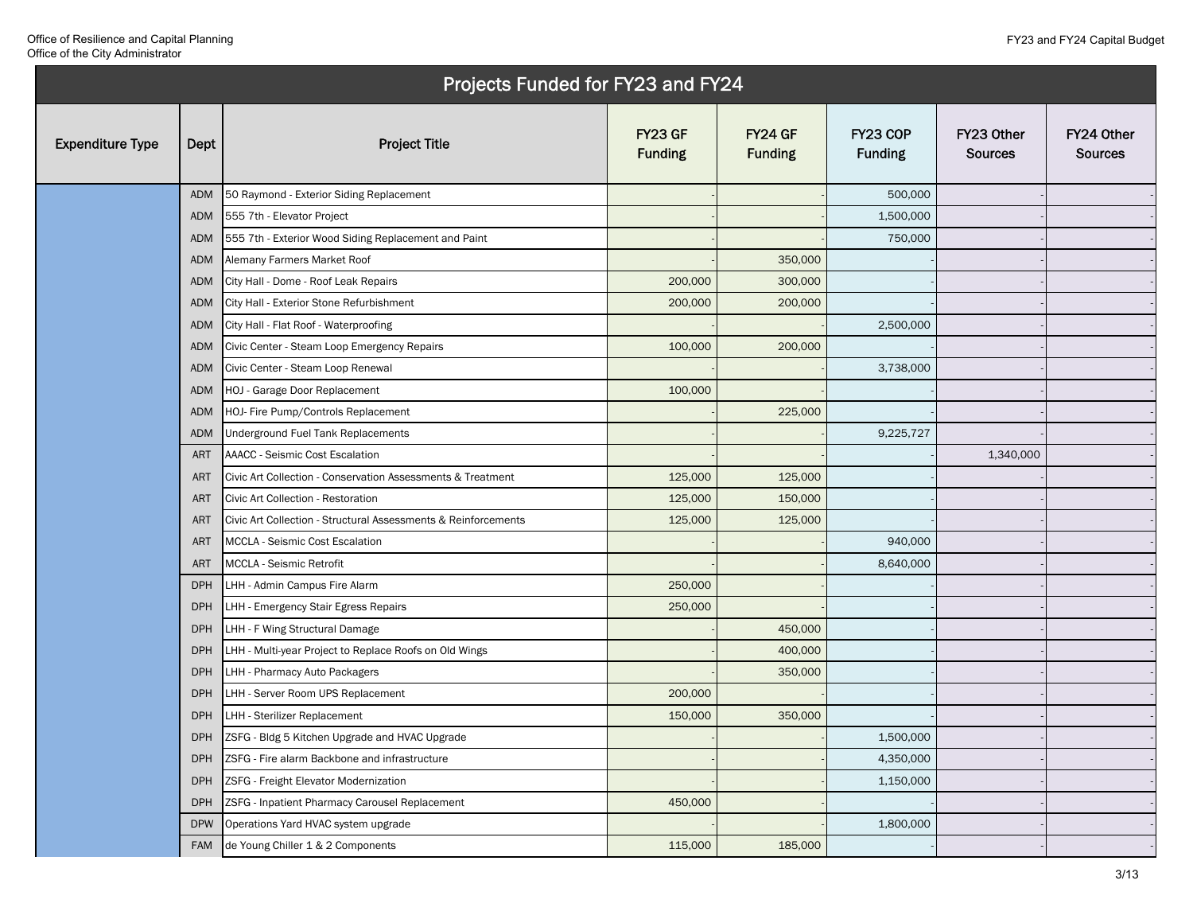|                         |            | Projects Funded for FY23 and FY24                              |                                  |                           |                            |                              |                              |
|-------------------------|------------|----------------------------------------------------------------|----------------------------------|---------------------------|----------------------------|------------------------------|------------------------------|
| <b>Expenditure Type</b> | Dept       | <b>Project Title</b>                                           | <b>FY23 GF</b><br><b>Funding</b> | FY24 GF<br><b>Funding</b> | FY23 COP<br><b>Funding</b> | FY23 Other<br><b>Sources</b> | FY24 Other<br><b>Sources</b> |
|                         | ADM        | 50 Raymond - Exterior Siding Replacement                       |                                  |                           | 500,000                    |                              |                              |
|                         | ADM        | 555 7th - Elevator Project                                     |                                  |                           | 1,500,000                  |                              |                              |
|                         | ADM        | 555 7th - Exterior Wood Siding Replacement and Paint           |                                  |                           | 750,000                    |                              |                              |
|                         | <b>ADM</b> | Alemany Farmers Market Roof                                    |                                  | 350,000                   |                            |                              |                              |
|                         | ADM        | City Hall - Dome - Roof Leak Repairs                           | 200,000                          | 300,000                   |                            |                              |                              |
|                         | ADM        | City Hall - Exterior Stone Refurbishment                       | 200,000                          | 200,000                   |                            |                              |                              |
|                         | ADM        | City Hall - Flat Roof - Waterproofing                          |                                  |                           | 2,500,000                  |                              |                              |
|                         | ADM        | Civic Center - Steam Loop Emergency Repairs                    | 100,000                          | 200,000                   |                            |                              |                              |
|                         | <b>ADM</b> | Civic Center - Steam Loop Renewal                              |                                  |                           | 3,738,000                  |                              |                              |
|                         | ADM        | HOJ - Garage Door Replacement                                  | 100,000                          |                           |                            |                              |                              |
|                         | ADM        | HOJ- Fire Pump/Controls Replacement                            |                                  | 225,000                   |                            |                              |                              |
|                         | <b>ADM</b> | Underground Fuel Tank Replacements                             |                                  |                           | 9,225,727                  |                              |                              |
|                         | <b>ART</b> | AAACC - Seismic Cost Escalation                                |                                  |                           |                            | 1,340,000                    |                              |
|                         | <b>ART</b> | Civic Art Collection - Conservation Assessments & Treatment    | 125,000                          | 125,000                   |                            |                              |                              |
|                         | <b>ART</b> | Civic Art Collection - Restoration                             | 125,000                          | 150,000                   |                            |                              |                              |
|                         | <b>ART</b> | Civic Art Collection - Structural Assessments & Reinforcements | 125,000                          | 125,000                   |                            |                              |                              |
|                         | <b>ART</b> | MCCLA - Seismic Cost Escalation                                |                                  |                           | 940,000                    |                              |                              |
|                         | <b>ART</b> | MCCLA - Seismic Retrofit                                       |                                  |                           | 8,640,000                  |                              |                              |
|                         | <b>DPH</b> | LHH - Admin Campus Fire Alarm                                  | 250,000                          |                           |                            |                              |                              |
|                         | <b>DPH</b> | LHH - Emergency Stair Egress Repairs                           | 250,000                          |                           |                            |                              |                              |
|                         | <b>DPH</b> | LHH - F Wing Structural Damage                                 |                                  | 450,000                   |                            |                              |                              |
|                         | <b>DPH</b> | LHH - Multi-year Project to Replace Roofs on Old Wings         |                                  | 400,000                   |                            |                              |                              |
|                         | <b>DPH</b> | LHH - Pharmacy Auto Packagers                                  |                                  | 350,000                   |                            |                              |                              |
|                         | <b>DPH</b> | LHH - Server Room UPS Replacement                              | 200,000                          |                           |                            |                              |                              |
|                         | <b>DPH</b> | LHH - Sterilizer Replacement                                   | 150,000                          | 350,000                   |                            |                              |                              |
|                         | <b>DPH</b> | ZSFG - Bldg 5 Kitchen Upgrade and HVAC Upgrade                 |                                  |                           | 1,500,000                  |                              |                              |
|                         | <b>DPH</b> | ZSFG - Fire alarm Backbone and infrastructure                  |                                  |                           | 4,350,000                  |                              |                              |
|                         | <b>DPH</b> | ZSFG - Freight Elevator Modernization                          |                                  |                           | 1,150,000                  |                              |                              |
|                         | <b>DPH</b> | ZSFG - Inpatient Pharmacy Carousel Replacement                 | 450,000                          |                           |                            |                              |                              |
|                         | <b>DPW</b> | Operations Yard HVAC system upgrade                            |                                  |                           | 1,800,000                  |                              |                              |
|                         | FAM        | de Young Chiller 1 & 2 Components                              | 115,000                          | 185,000                   |                            |                              |                              |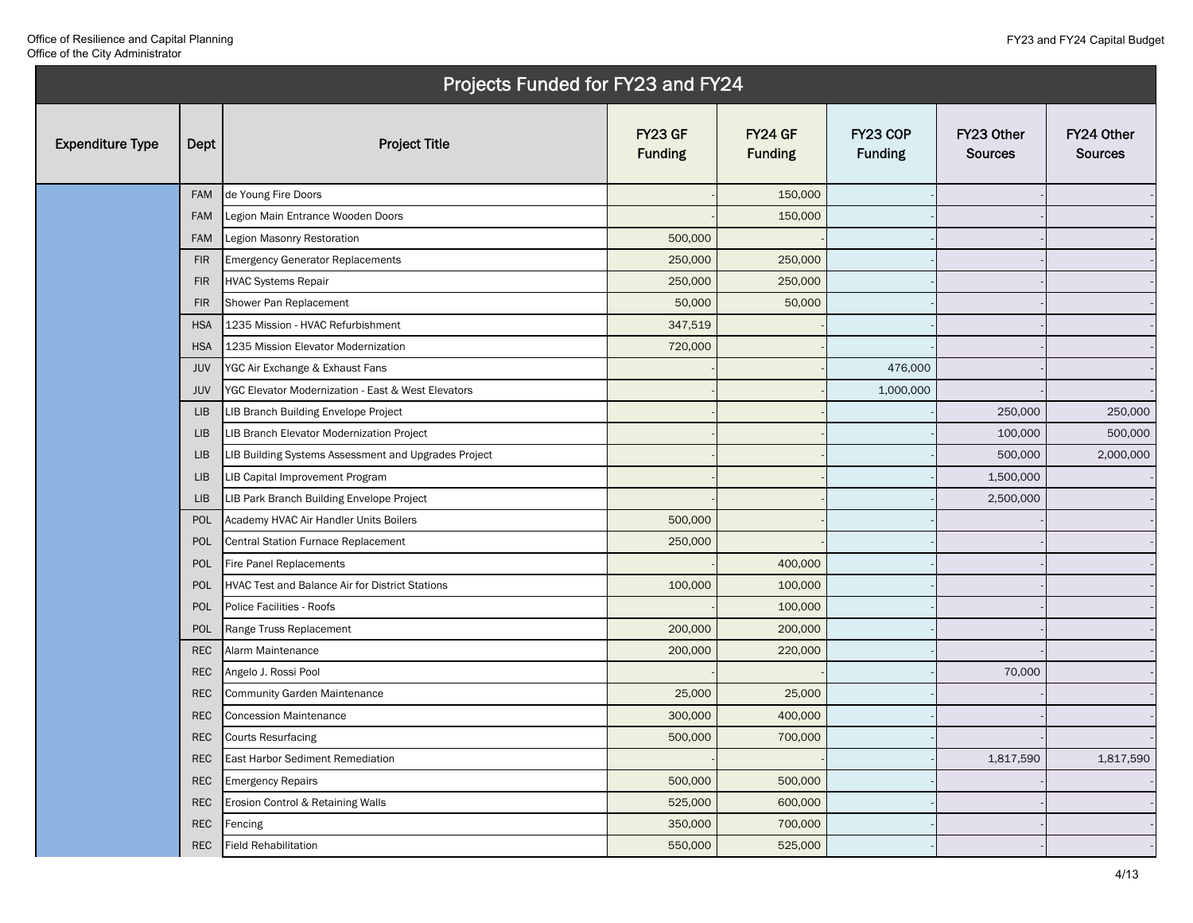|                         |             | Projects Funded for FY23 and FY24                    |                                  |                           |                            |                              |                              |
|-------------------------|-------------|------------------------------------------------------|----------------------------------|---------------------------|----------------------------|------------------------------|------------------------------|
| <b>Expenditure Type</b> | Dept        | <b>Project Title</b>                                 | <b>FY23 GF</b><br><b>Funding</b> | FY24 GF<br><b>Funding</b> | FY23 COP<br><b>Funding</b> | FY23 Other<br><b>Sources</b> | FY24 Other<br><b>Sources</b> |
|                         | <b>FAM</b>  | de Young Fire Doors                                  |                                  | 150,000                   |                            |                              |                              |
|                         | <b>FAM</b>  | Legion Main Entrance Wooden Doors                    |                                  | 150,000                   |                            |                              |                              |
|                         | <b>FAM</b>  | Legion Masonry Restoration                           | 500,000                          |                           |                            |                              |                              |
|                         | <b>FIR</b>  | <b>Emergency Generator Replacements</b>              | 250,000                          | 250,000                   |                            |                              |                              |
|                         | <b>FIR</b>  | <b>HVAC Systems Repair</b>                           | 250,000                          | 250,000                   |                            |                              |                              |
|                         | <b>FIR</b>  | Shower Pan Replacement                               | 50,000                           | 50,000                    |                            |                              |                              |
|                         | <b>HSA</b>  | 1235 Mission - HVAC Refurbishment                    | 347,519                          |                           |                            |                              |                              |
|                         | <b>HSA</b>  | 1235 Mission Elevator Modernization                  | 720,000                          |                           |                            |                              |                              |
|                         | <b>JUV</b>  | YGC Air Exchange & Exhaust Fans                      |                                  |                           | 476,000                    |                              |                              |
|                         | <b>JUV</b>  | YGC Elevator Modernization - East & West Elevators   |                                  |                           | 1,000,000                  |                              |                              |
|                         | <b>LIB</b>  | LIB Branch Building Envelope Project                 |                                  |                           |                            | 250,000                      | 250,000                      |
|                         | <b>LIB</b>  | LIB Branch Elevator Modernization Project            |                                  |                           |                            | 100,000                      | 500,000                      |
|                         | <b>LIB</b>  | LIB Building Systems Assessment and Upgrades Project |                                  |                           |                            | 500,000                      | 2,000,000                    |
|                         | ${\sf LIB}$ | LIB Capital Improvement Program                      |                                  |                           |                            | 1,500,000                    |                              |
|                         | <b>LIB</b>  | LIB Park Branch Building Envelope Project            |                                  |                           |                            | 2,500,000                    |                              |
|                         | POL         | Academy HVAC Air Handler Units Boilers               | 500,000                          |                           |                            |                              |                              |
|                         | POL         | Central Station Furnace Replacement                  | 250,000                          |                           |                            |                              |                              |
|                         | <b>POL</b>  | Fire Panel Replacements                              |                                  | 400,000                   |                            |                              |                              |
|                         | POL         | HVAC Test and Balance Air for District Stations      | 100,000                          | 100,000                   |                            |                              |                              |
|                         | POL         | Police Facilities - Roofs                            |                                  | 100,000                   |                            |                              |                              |
|                         | POL         | Range Truss Replacement                              | 200,000                          | 200,000                   |                            |                              |                              |
|                         | <b>REC</b>  | Alarm Maintenance                                    | 200,000                          | 220,000                   |                            |                              |                              |
|                         | <b>REC</b>  | Angelo J. Rossi Pool                                 |                                  |                           |                            | 70,000                       |                              |
|                         | <b>REC</b>  | <b>Community Garden Maintenance</b>                  | 25,000                           | 25,000                    |                            |                              |                              |
|                         | <b>REC</b>  | <b>Concession Maintenance</b>                        | 300,000                          | 400,000                   |                            |                              |                              |
|                         | <b>REC</b>  | Courts Resurfacing                                   | 500,000                          | 700,000                   |                            |                              |                              |
|                         | <b>REC</b>  | East Harbor Sediment Remediation                     |                                  |                           |                            | 1,817,590                    | 1,817,590                    |
|                         | <b>REC</b>  | <b>Emergency Repairs</b>                             | 500,000                          | 500,000                   |                            |                              |                              |
|                         | <b>REC</b>  | Erosion Control & Retaining Walls                    | 525,000                          | 600,000                   |                            |                              |                              |
|                         | <b>REC</b>  | Fencing                                              | 350,000                          | 700,000                   |                            |                              |                              |
|                         | <b>REC</b>  | <b>Field Rehabilitation</b>                          | 550,000                          | 525,000                   |                            |                              |                              |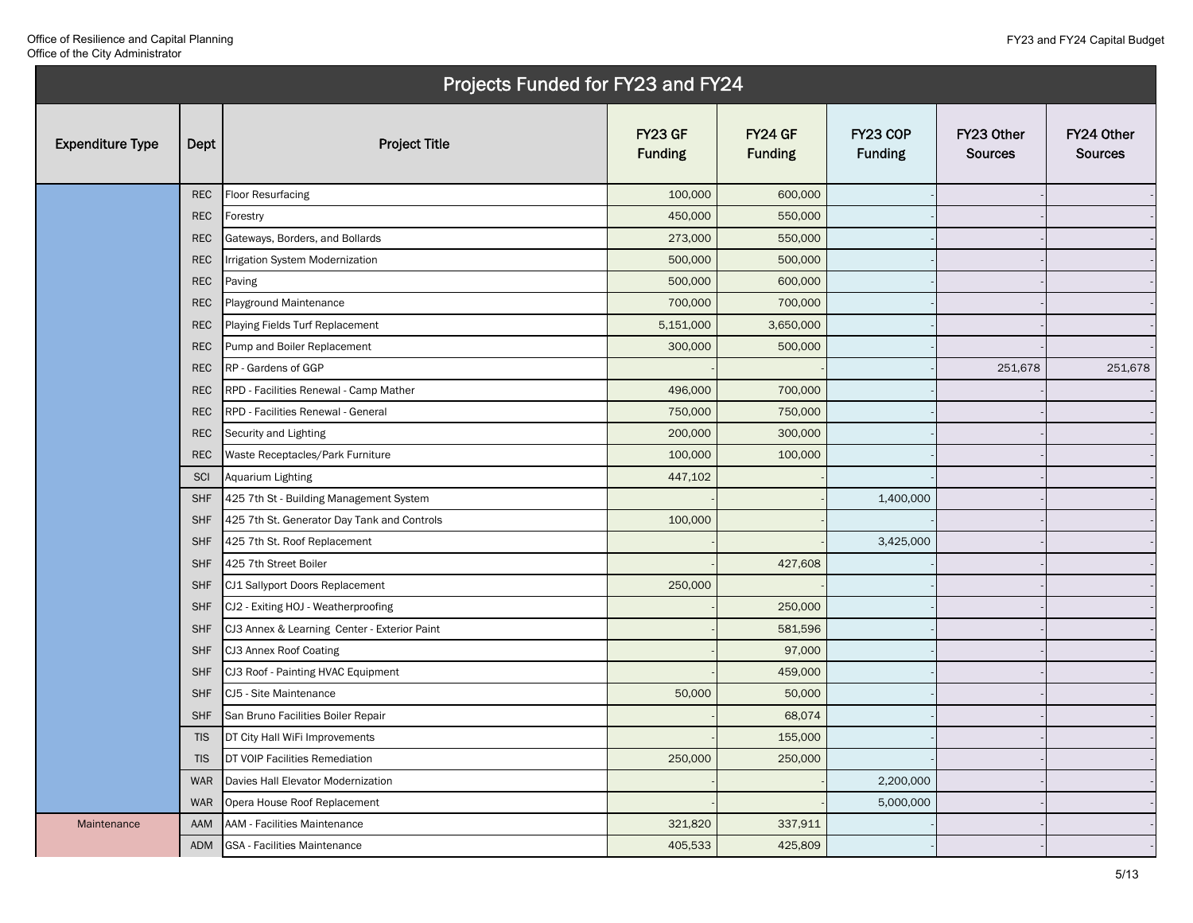|                         |            | Projects Funded for FY23 and FY24            |                           |                           |                            |                              |                              |
|-------------------------|------------|----------------------------------------------|---------------------------|---------------------------|----------------------------|------------------------------|------------------------------|
| <b>Expenditure Type</b> | Dept       | <b>Project Title</b>                         | FY23 GF<br><b>Funding</b> | FY24 GF<br><b>Funding</b> | FY23 COP<br><b>Funding</b> | FY23 Other<br><b>Sources</b> | FY24 Other<br><b>Sources</b> |
|                         | <b>REC</b> | <b>Floor Resurfacing</b>                     | 100,000                   | 600,000                   |                            |                              |                              |
|                         | <b>REC</b> | Forestry                                     | 450,000                   | 550,000                   |                            |                              |                              |
|                         | <b>REC</b> | Gateways, Borders, and Bollards              | 273,000                   | 550,000                   |                            |                              |                              |
|                         | <b>REC</b> | Irrigation System Modernization              | 500,000                   | 500,000                   |                            |                              |                              |
|                         | <b>REC</b> | Paving                                       | 500,000                   | 600,000                   |                            |                              |                              |
|                         | <b>REC</b> | Playground Maintenance                       | 700,000                   | 700,000                   |                            |                              |                              |
|                         | <b>REC</b> | Playing Fields Turf Replacement              | 5,151,000                 | 3,650,000                 |                            |                              |                              |
|                         | <b>REC</b> | Pump and Boiler Replacement                  | 300,000                   | 500,000                   |                            |                              |                              |
|                         | <b>REC</b> | RP - Gardens of GGP                          |                           |                           |                            | 251,678                      | 251,678                      |
|                         | <b>REC</b> | RPD - Facilities Renewal - Camp Mather       | 496,000                   | 700,000                   |                            |                              |                              |
|                         | <b>REC</b> | RPD - Facilities Renewal - General           | 750,000                   | 750,000                   |                            |                              |                              |
|                         | <b>REC</b> | Security and Lighting                        | 200,000                   | 300,000                   |                            |                              |                              |
|                         | <b>REC</b> | Waste Receptacles/Park Furniture             | 100,000                   | 100,000                   |                            |                              |                              |
|                         | SCI        | Aquarium Lighting                            | 447,102                   |                           |                            |                              |                              |
|                         | <b>SHF</b> | 425 7th St - Building Management System      |                           |                           | 1,400,000                  |                              |                              |
|                         | <b>SHF</b> | 425 7th St. Generator Day Tank and Controls  | 100,000                   |                           |                            |                              |                              |
|                         | <b>SHF</b> | 425 7th St. Roof Replacement                 |                           |                           | 3,425,000                  |                              |                              |
|                         | <b>SHF</b> | 425 7th Street Boiler                        |                           | 427,608                   |                            |                              |                              |
|                         | <b>SHF</b> | CJ1 Sallyport Doors Replacement              | 250,000                   |                           |                            |                              |                              |
|                         | <b>SHF</b> | CJ2 - Exiting HOJ - Weatherproofing          |                           | 250,000                   |                            |                              |                              |
|                         | <b>SHF</b> | CJ3 Annex & Learning Center - Exterior Paint |                           | 581,596                   |                            |                              |                              |
|                         | <b>SHF</b> | CJ3 Annex Roof Coating                       |                           | 97,000                    |                            |                              |                              |
|                         | <b>SHF</b> | CJ3 Roof - Painting HVAC Equipment           |                           | 459,000                   |                            |                              |                              |
|                         | <b>SHF</b> | CJ5 - Site Maintenance                       | 50,000                    | 50,000                    |                            |                              |                              |
|                         | <b>SHF</b> | San Bruno Facilities Boiler Repair           |                           | 68,074                    |                            |                              |                              |
|                         | <b>TIS</b> | DT City Hall WiFi Improvements               |                           | 155,000                   |                            |                              |                              |
|                         | <b>TIS</b> | DT VOIP Facilities Remediation               | 250,000                   | 250,000                   |                            |                              |                              |
|                         | <b>WAR</b> | Davies Hall Elevator Modernization           |                           |                           | 2,200,000                  |                              |                              |
|                         | <b>WAR</b> | Opera House Roof Replacement                 |                           |                           | 5,000,000                  |                              |                              |
| Maintenance             | AAM        | <b>AAM - Facilities Maintenance</b>          | 321,820                   | 337,911                   |                            |                              |                              |
|                         | ADM        | GSA - Facilities Maintenance                 | 405,533                   | 425,809                   |                            |                              |                              |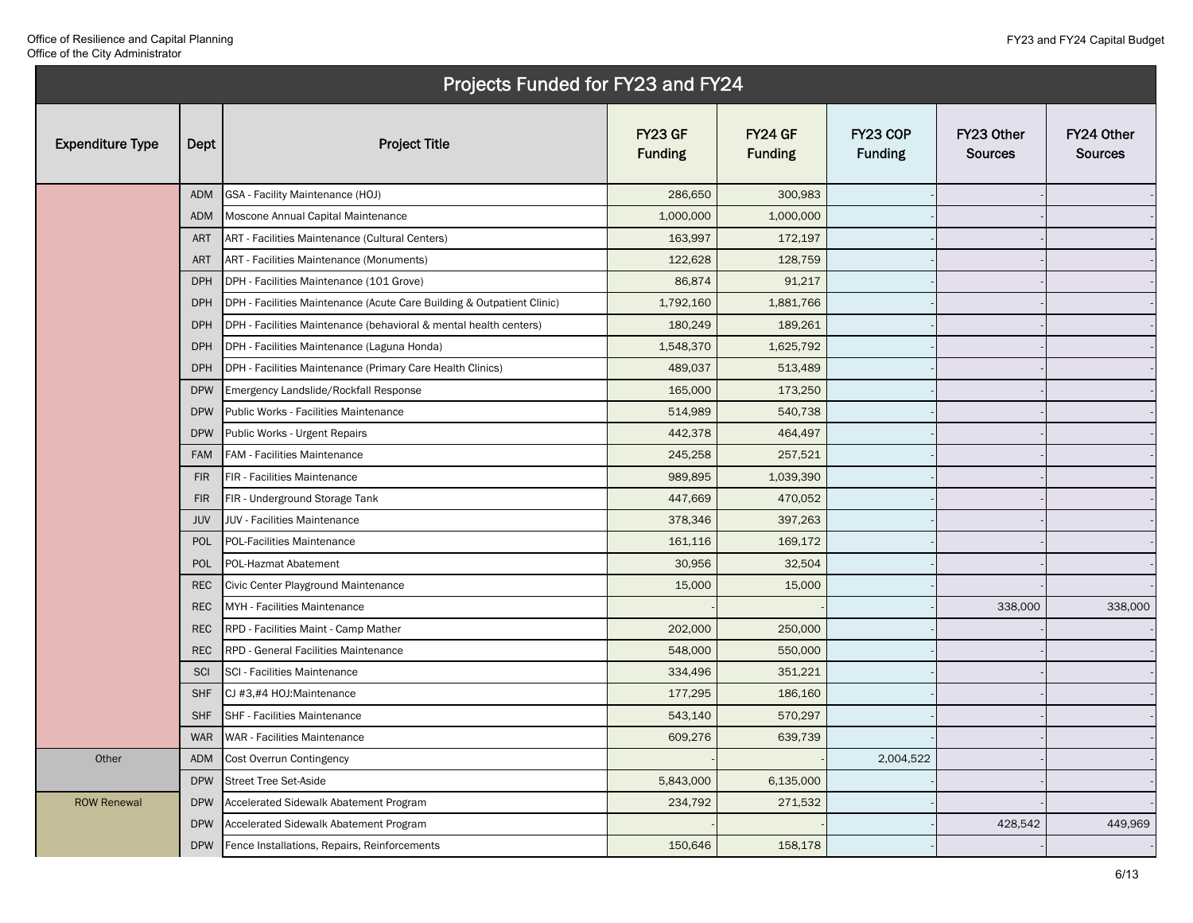|                         |            | Projects Funded for FY23 and FY24                                      |                           |                           |                            |                              |                              |
|-------------------------|------------|------------------------------------------------------------------------|---------------------------|---------------------------|----------------------------|------------------------------|------------------------------|
| <b>Expenditure Type</b> | Dept       | <b>Project Title</b>                                                   | FY23 GF<br><b>Funding</b> | FY24 GF<br><b>Funding</b> | FY23 COP<br><b>Funding</b> | FY23 Other<br><b>Sources</b> | FY24 Other<br><b>Sources</b> |
|                         | <b>ADM</b> | GSA - Facility Maintenance (HOJ)                                       | 286,650                   | 300,983                   |                            |                              |                              |
|                         | <b>ADM</b> | Moscone Annual Capital Maintenance                                     | 1,000,000                 | 1,000,000                 |                            |                              |                              |
|                         | <b>ART</b> | ART - Facilities Maintenance (Cultural Centers)                        | 163,997                   | 172,197                   |                            |                              |                              |
|                         | <b>ART</b> | ART - Facilities Maintenance (Monuments)                               | 122,628                   | 128,759                   |                            |                              |                              |
|                         | <b>DPH</b> | DPH - Facilities Maintenance (101 Grove)                               | 86,874                    | 91,217                    |                            |                              |                              |
|                         | <b>DPH</b> | DPH - Facilities Maintenance (Acute Care Building & Outpatient Clinic) | 1,792,160                 | 1,881,766                 |                            |                              |                              |
|                         | <b>DPH</b> | DPH - Facilities Maintenance (behavioral & mental health centers)      | 180,249                   | 189,261                   |                            |                              |                              |
|                         | <b>DPH</b> | DPH - Facilities Maintenance (Laguna Honda)                            | 1,548,370                 | 1,625,792                 |                            |                              |                              |
|                         | <b>DPH</b> | DPH - Facilities Maintenance (Primary Care Health Clinics)             | 489,037                   | 513,489                   |                            |                              |                              |
|                         | <b>DPW</b> | Emergency Landslide/Rockfall Response                                  | 165,000                   | 173,250                   |                            |                              |                              |
|                         | <b>DPW</b> | Public Works - Facilities Maintenance                                  | 514,989                   | 540,738                   |                            |                              |                              |
|                         | <b>DPW</b> | Public Works - Urgent Repairs                                          | 442,378                   | 464,497                   |                            |                              |                              |
|                         | <b>FAM</b> | FAM - Facilities Maintenance                                           | 245,258                   | 257,521                   |                            |                              |                              |
|                         | <b>FIR</b> | FIR - Facilities Maintenance                                           | 989,895                   | 1,039,390                 |                            |                              |                              |
|                         | <b>FIR</b> | FIR - Underground Storage Tank                                         | 447,669                   | 470,052                   |                            |                              |                              |
|                         | JUV        | JUV - Facilities Maintenance                                           | 378,346                   | 397,263                   |                            |                              |                              |
|                         | POL        | POL-Facilities Maintenance                                             | 161,116                   | 169,172                   |                            |                              |                              |
|                         | POL        | POL-Hazmat Abatement                                                   | 30,956                    | 32,504                    |                            |                              |                              |
|                         | <b>REC</b> | Civic Center Playground Maintenance                                    | 15,000                    | 15,000                    |                            |                              |                              |
|                         | <b>REC</b> | MYH - Facilities Maintenance                                           |                           |                           |                            | 338,000                      | 338,000                      |
|                         | <b>REC</b> | RPD - Facilities Maint - Camp Mather                                   | 202,000                   | 250,000                   |                            |                              |                              |
|                         | <b>REC</b> | RPD - General Facilities Maintenance                                   | 548,000                   | 550,000                   |                            |                              |                              |
|                         | SCI        | SCI - Facilities Maintenance                                           | 334,496                   | 351,221                   |                            |                              |                              |
|                         | <b>SHF</b> | CJ #3,#4 HOJ:Maintenance                                               | 177,295                   | 186,160                   |                            |                              |                              |
|                         | <b>SHF</b> | SHF - Facilities Maintenance                                           | 543,140                   | 570,297                   |                            |                              |                              |
|                         | <b>WAR</b> | WAR - Facilities Maintenance                                           | 609,276                   | 639,739                   |                            |                              |                              |
| Other                   | ADM        | Cost Overrun Contingency                                               |                           |                           | 2,004,522                  |                              |                              |
|                         | <b>DPW</b> | Street Tree Set-Aside                                                  | 5,843,000                 | 6,135,000                 |                            |                              |                              |
| <b>ROW Renewal</b>      | <b>DPW</b> | Accelerated Sidewalk Abatement Program                                 | 234,792                   | 271,532                   |                            |                              |                              |
|                         | <b>DPW</b> | Accelerated Sidewalk Abatement Program                                 |                           |                           |                            | 428,542                      | 449,969                      |
|                         | <b>DPW</b> | Fence Installations, Repairs, Reinforcements                           | 150,646                   | 158,178                   |                            |                              |                              |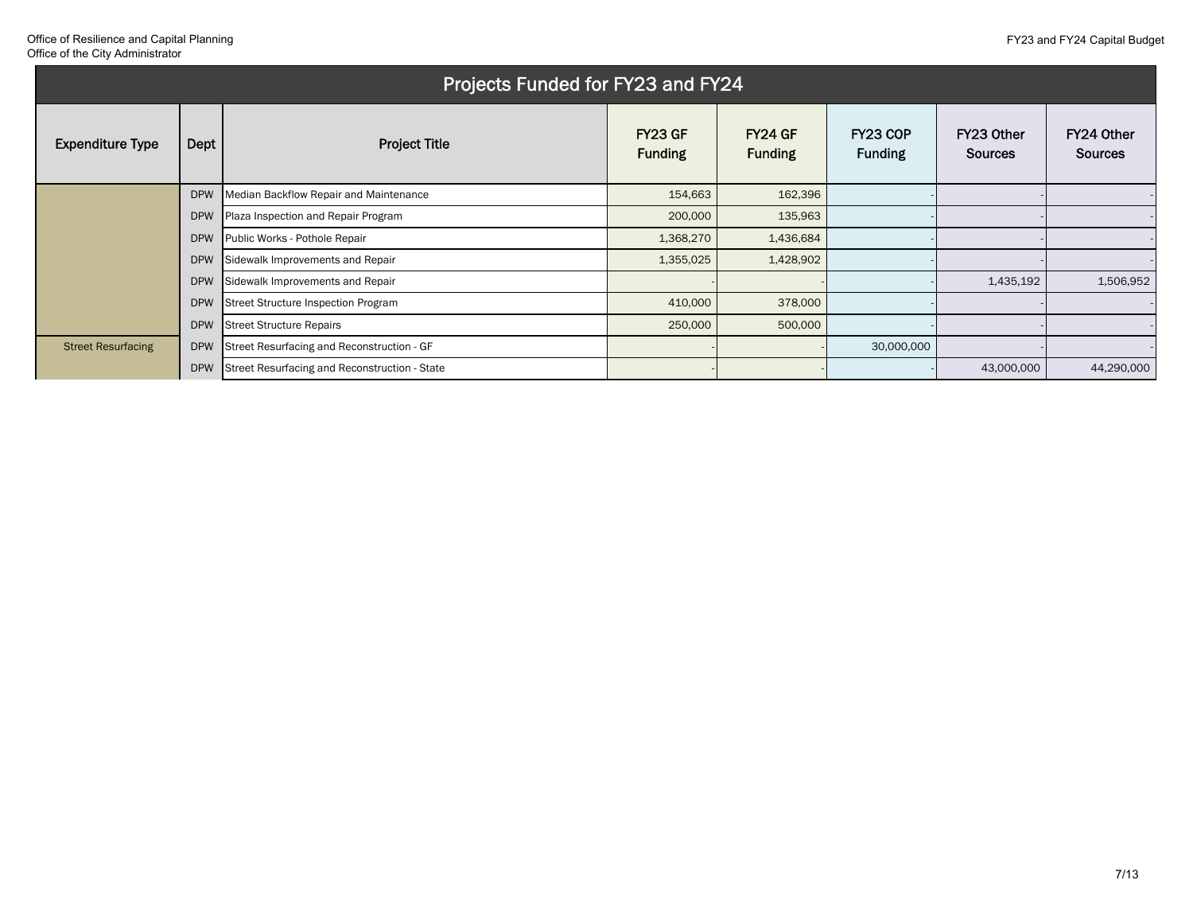|                           |            | Projects Funded for FY23 and FY24             |                           |                           |                            |                              |                              |
|---------------------------|------------|-----------------------------------------------|---------------------------|---------------------------|----------------------------|------------------------------|------------------------------|
| <b>Expenditure Type</b>   | Dept       | <b>Project Title</b>                          | FY23 GF<br><b>Funding</b> | FY24 GF<br><b>Funding</b> | FY23 COP<br><b>Funding</b> | FY23 Other<br><b>Sources</b> | FY24 Other<br><b>Sources</b> |
|                           | <b>DPW</b> | Median Backflow Repair and Maintenance        | 154,663                   | 162,396                   |                            |                              |                              |
|                           | <b>DPW</b> | Plaza Inspection and Repair Program           | 200,000                   | 135,963                   |                            |                              |                              |
|                           | <b>DPW</b> | Public Works - Pothole Repair                 | 1,368,270                 | 1,436,684                 |                            |                              |                              |
|                           | <b>DPW</b> | Sidewalk Improvements and Repair              | 1,355,025                 | 1,428,902                 |                            |                              |                              |
|                           | <b>DPW</b> | Sidewalk Improvements and Repair              |                           |                           |                            | 1,435,192                    | 1,506,952                    |
|                           | <b>DPW</b> | Street Structure Inspection Program           | 410,000                   | 378,000                   |                            |                              |                              |
|                           | <b>DPW</b> | <b>Street Structure Repairs</b>               | 250,000                   | 500,000                   |                            |                              |                              |
| <b>Street Resurfacing</b> | <b>DPW</b> | Street Resurfacing and Reconstruction - GF    |                           |                           | 30,000,000                 |                              |                              |
|                           | <b>DPW</b> | Street Resurfacing and Reconstruction - State |                           |                           |                            | 43,000,000                   | 44,290,000                   |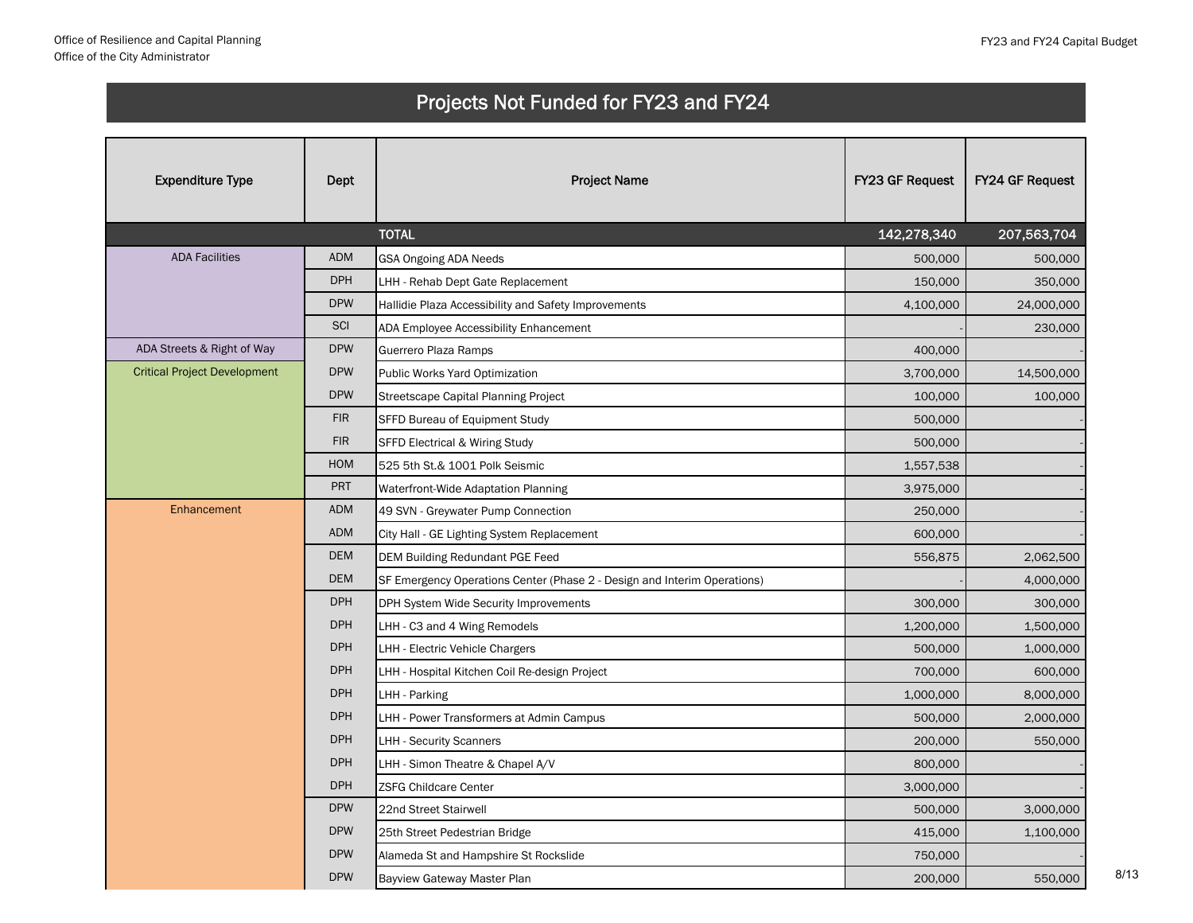| <b>Expenditure Type</b>             | Dept       | <b>Project Name</b>                                                      | FY23 GF Request | FY24 GF Request |
|-------------------------------------|------------|--------------------------------------------------------------------------|-----------------|-----------------|
|                                     |            | <b>TOTAL</b>                                                             | 142,278,340     | 207,563,704     |
| <b>ADA Facilities</b>               | <b>ADM</b> | GSA Ongoing ADA Needs                                                    | 500,000         | 500,000         |
|                                     | <b>DPH</b> | LHH - Rehab Dept Gate Replacement                                        | 150,000         | 350,000         |
|                                     | <b>DPW</b> | Hallidie Plaza Accessibility and Safety Improvements                     | 4,100,000       | 24,000,000      |
|                                     | SCI        | ADA Employee Accessibility Enhancement                                   |                 | 230,000         |
| ADA Streets & Right of Way          | <b>DPW</b> | Guerrero Plaza Ramps                                                     | 400,000         |                 |
| <b>Critical Project Development</b> | <b>DPW</b> | Public Works Yard Optimization                                           | 3,700,000       | 14,500,000      |
|                                     | <b>DPW</b> | Streetscape Capital Planning Project                                     | 100,000         | 100,000         |
|                                     | <b>FIR</b> | SFFD Bureau of Equipment Study                                           | 500,000         |                 |
|                                     | <b>FIR</b> | <b>SFFD Electrical &amp; Wiring Study</b>                                | 500,000         |                 |
|                                     | <b>HOM</b> | 525 5th St.& 1001 Polk Seismic                                           | 1,557,538       |                 |
|                                     | PRT        | Waterfront-Wide Adaptation Planning                                      | 3,975,000       |                 |
| Enhancement                         | <b>ADM</b> | 49 SVN - Greywater Pump Connection                                       | 250,000         |                 |
|                                     | <b>ADM</b> | City Hall - GE Lighting System Replacement                               | 600,000         |                 |
|                                     | <b>DEM</b> | <b>DEM Building Redundant PGE Feed</b>                                   | 556,875         | 2,062,500       |
|                                     | <b>DEM</b> | SF Emergency Operations Center (Phase 2 - Design and Interim Operations) |                 | 4,000,000       |
|                                     | <b>DPH</b> | DPH System Wide Security Improvements                                    | 300,000         | 300,000         |
|                                     | <b>DPH</b> | LHH - C3 and 4 Wing Remodels                                             | 1,200,000       | 1,500,000       |
|                                     | <b>DPH</b> | LHH - Electric Vehicle Chargers                                          | 500,000         | 1,000,000       |
|                                     | <b>DPH</b> | LHH - Hospital Kitchen Coil Re-design Project                            | 700,000         | 600,000         |
|                                     | <b>DPH</b> | LHH - Parking                                                            | 1,000,000       | 8,000,000       |
|                                     | <b>DPH</b> | LHH - Power Transformers at Admin Campus                                 | 500,000         | 2,000,000       |
|                                     | <b>DPH</b> | <b>LHH - Security Scanners</b>                                           | 200,000         | 550,000         |
|                                     | <b>DPH</b> | LHH - Simon Theatre & Chapel A/V                                         | 800,000         |                 |
|                                     | <b>DPH</b> | <b>ZSFG Childcare Center</b>                                             | 3,000,000       |                 |
|                                     | <b>DPW</b> | 22nd Street Stairwell                                                    | 500,000         | 3,000,000       |
|                                     | <b>DPW</b> | 25th Street Pedestrian Bridge                                            | 415,000         | 1,100,000       |
|                                     | <b>DPW</b> | Alameda St and Hampshire St Rockslide                                    | 750,000         |                 |
|                                     | <b>DPW</b> | Bayview Gateway Master Plan                                              | 200,000         | 550,000         |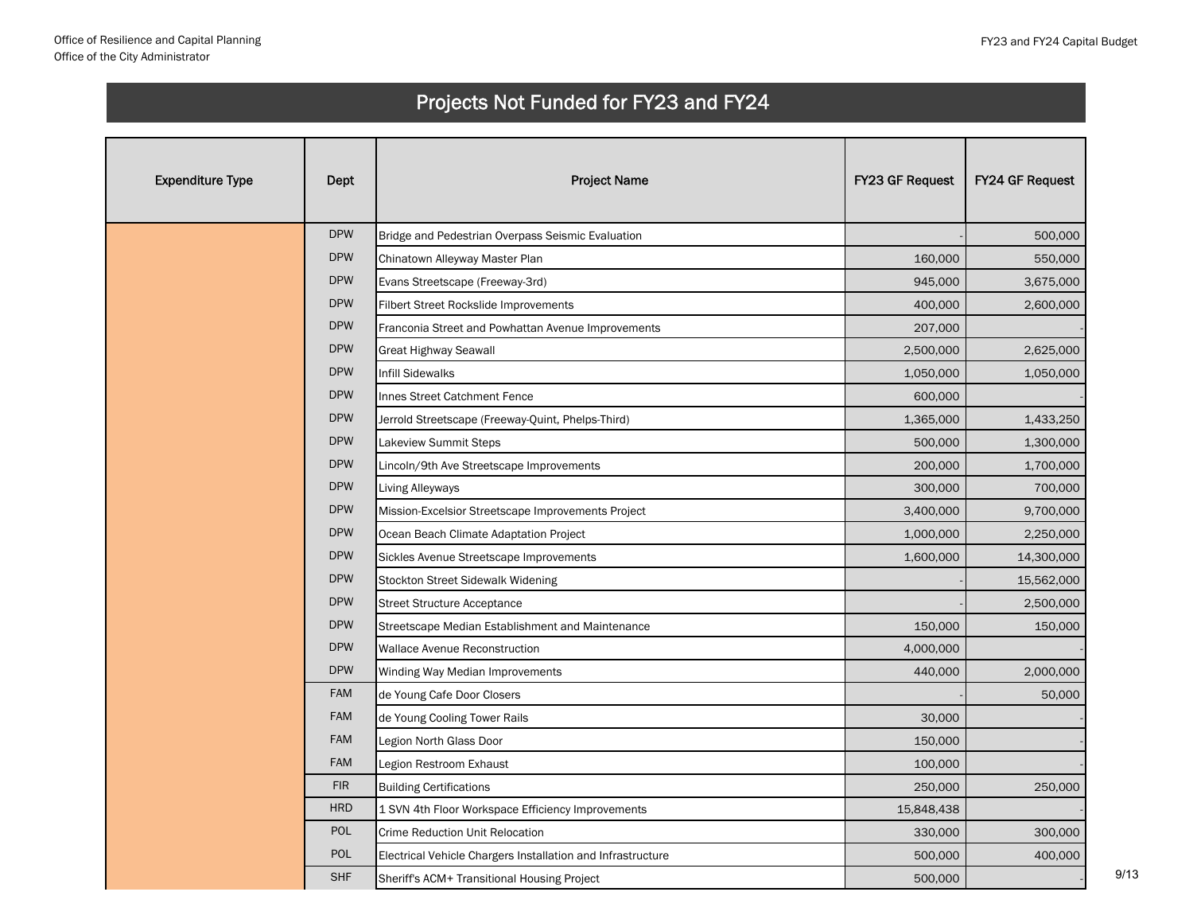| <b>Expenditure Type</b> | Dept       | <b>Project Name</b>                                         | FY23 GF Request | FY24 GF Request |
|-------------------------|------------|-------------------------------------------------------------|-----------------|-----------------|
|                         | <b>DPW</b> | Bridge and Pedestrian Overpass Seismic Evaluation           |                 | 500,000         |
|                         | <b>DPW</b> | Chinatown Alleyway Master Plan                              | 160,000         | 550,000         |
|                         | <b>DPW</b> | Evans Streetscape (Freeway-3rd)                             | 945,000         | 3,675,000       |
|                         | <b>DPW</b> | Filbert Street Rockslide Improvements                       | 400,000         | 2,600,000       |
|                         | <b>DPW</b> | Franconia Street and Powhattan Avenue Improvements          | 207,000         |                 |
|                         | <b>DPW</b> | Great Highway Seawall                                       | 2,500,000       | 2,625,000       |
|                         | <b>DPW</b> | <b>Infill Sidewalks</b>                                     | 1,050,000       | 1,050,000       |
|                         | <b>DPW</b> | Innes Street Catchment Fence                                | 600,000         |                 |
|                         | <b>DPW</b> | Jerrold Streetscape (Freeway-Quint, Phelps-Third)           | 1,365,000       | 1,433,250       |
|                         | <b>DPW</b> | Lakeview Summit Steps                                       | 500,000         | 1,300,000       |
|                         | <b>DPW</b> | Lincoln/9th Ave Streetscape Improvements                    | 200,000         | 1,700,000       |
|                         | <b>DPW</b> | Living Alleyways                                            | 300,000         | 700,000         |
|                         | <b>DPW</b> | Mission-Excelsior Streetscape Improvements Project          | 3,400,000       | 9,700,000       |
|                         | <b>DPW</b> | Ocean Beach Climate Adaptation Project                      | 1,000,000       | 2,250,000       |
|                         | <b>DPW</b> | Sickles Avenue Streetscape Improvements                     | 1,600,000       | 14,300,000      |
|                         | <b>DPW</b> | Stockton Street Sidewalk Widening                           |                 | 15,562,000      |
|                         | <b>DPW</b> | <b>Street Structure Acceptance</b>                          |                 | 2,500,000       |
|                         | <b>DPW</b> | Streetscape Median Establishment and Maintenance            | 150,000         | 150,000         |
|                         | <b>DPW</b> | Wallace Avenue Reconstruction                               | 4,000,000       |                 |
|                         | <b>DPW</b> | Winding Way Median Improvements                             | 440,000         | 2,000,000       |
|                         | <b>FAM</b> | de Young Cafe Door Closers                                  |                 | 50,000          |
|                         | <b>FAM</b> | de Young Cooling Tower Rails                                | 30,000          |                 |
|                         | <b>FAM</b> | Legion North Glass Door                                     | 150,000         |                 |
|                         | <b>FAM</b> | Legion Restroom Exhaust                                     | 100,000         |                 |
|                         | <b>FIR</b> | <b>Building Certifications</b>                              | 250,000         | 250,000         |
|                         | <b>HRD</b> | 1 SVN 4th Floor Workspace Efficiency Improvements           | 15,848,438      |                 |
|                         | POL        | <b>Crime Reduction Unit Relocation</b>                      | 330,000         | 300,000         |
|                         | <b>POL</b> | Electrical Vehicle Chargers Installation and Infrastructure | 500,000         | 400,000         |
|                         | <b>SHF</b> | Sheriff's ACM+ Transitional Housing Project                 | 500,000         |                 |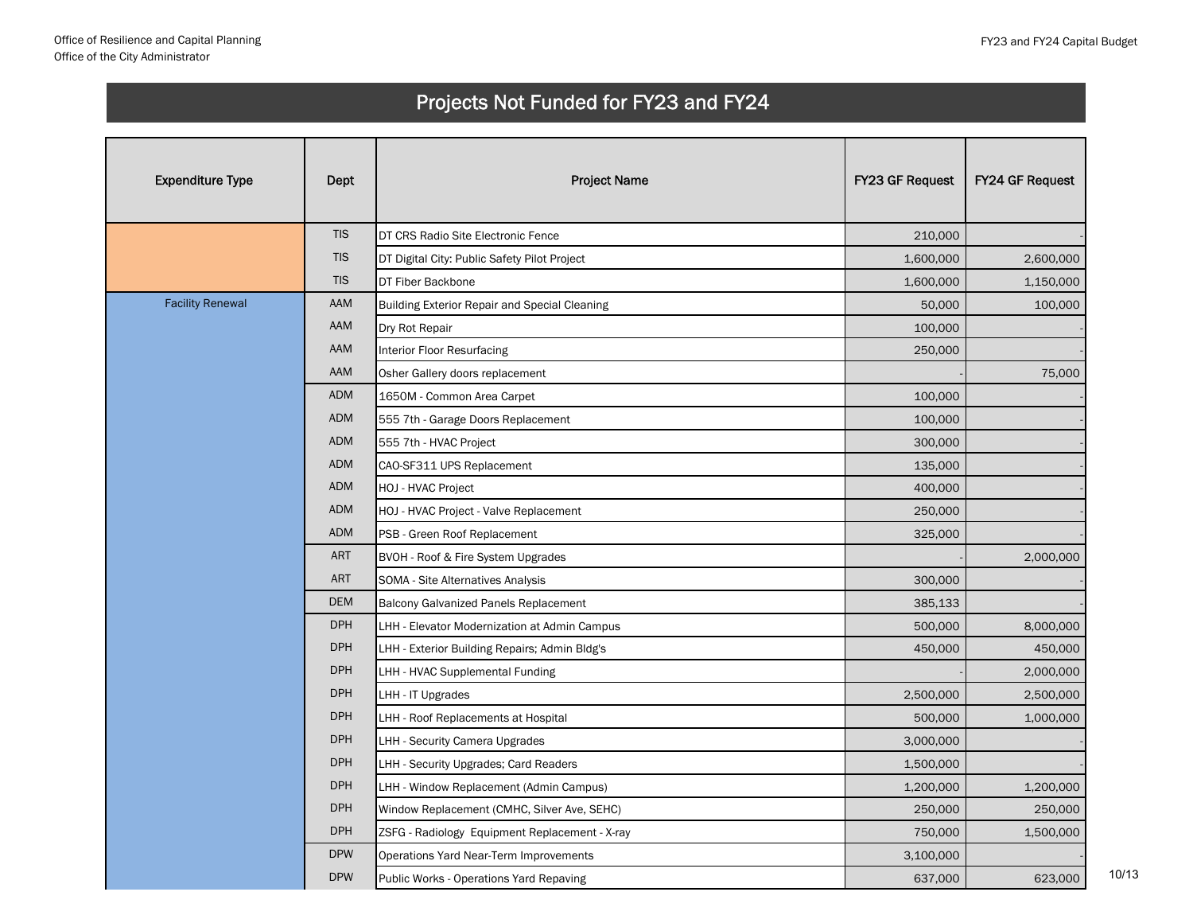| <b>Expenditure Type</b> | Dept       | <b>Project Name</b>                                  | FY23 GF Request | <b>FY24 GF Request</b> |
|-------------------------|------------|------------------------------------------------------|-----------------|------------------------|
|                         | <b>TIS</b> | DT CRS Radio Site Electronic Fence                   | 210,000         |                        |
|                         | <b>TIS</b> | DT Digital City: Public Safety Pilot Project         | 1,600,000       | 2,600,000              |
|                         | <b>TIS</b> | DT Fiber Backbone                                    | 1,600,000       | 1,150,000              |
| <b>Facility Renewal</b> | AAM        | <b>Building Exterior Repair and Special Cleaning</b> | 50,000          | 100,000                |
|                         | AAM        | Dry Rot Repair                                       | 100,000         |                        |
|                         | AAM        | Interior Floor Resurfacing                           | 250,000         |                        |
|                         | AAM        | Osher Gallery doors replacement                      |                 | 75,000                 |
|                         | <b>ADM</b> | 1650M - Common Area Carpet                           | 100,000         |                        |
|                         | <b>ADM</b> | 555 7th - Garage Doors Replacement                   | 100,000         |                        |
|                         | <b>ADM</b> | 555 7th - HVAC Project                               | 300,000         |                        |
|                         | <b>ADM</b> | CAO-SF311 UPS Replacement                            | 135,000         |                        |
|                         | <b>ADM</b> | HOJ - HVAC Project                                   | 400,000         |                        |
|                         | <b>ADM</b> | HOJ - HVAC Project - Valve Replacement               | 250,000         |                        |
|                         | <b>ADM</b> | PSB - Green Roof Replacement                         | 325,000         |                        |
|                         | <b>ART</b> | BVOH - Roof & Fire System Upgrades                   |                 | 2,000,000              |
|                         | <b>ART</b> | SOMA - Site Alternatives Analysis                    | 300,000         |                        |
|                         | <b>DEM</b> | Balcony Galvanized Panels Replacement                | 385,133         |                        |
|                         | <b>DPH</b> | LHH - Elevator Modernization at Admin Campus         | 500,000         | 8,000,000              |
|                         | <b>DPH</b> | LHH - Exterior Building Repairs; Admin Bldg's        | 450,000         | 450,000                |
|                         | <b>DPH</b> | LHH - HVAC Supplemental Funding                      |                 | 2,000,000              |
|                         | <b>DPH</b> | LHH - IT Upgrades                                    | 2,500,000       | 2,500,000              |
|                         | <b>DPH</b> | LHH - Roof Replacements at Hospital                  | 500,000         | 1,000,000              |
|                         | <b>DPH</b> | <b>LHH - Security Camera Upgrades</b>                | 3,000,000       |                        |
|                         | <b>DPH</b> | LHH - Security Upgrades; Card Readers                | 1,500,000       |                        |
|                         | <b>DPH</b> | LHH - Window Replacement (Admin Campus)              | 1,200,000       | 1,200,000              |
|                         | <b>DPH</b> | Window Replacement (CMHC, Silver Ave, SEHC)          | 250,000         | 250,000                |
|                         | <b>DPH</b> | ZSFG - Radiology Equipment Replacement - X-ray       | 750,000         | 1,500,000              |
|                         | <b>DPW</b> | Operations Yard Near-Term Improvements               | 3,100,000       |                        |
|                         | <b>DPW</b> | Public Works - Operations Yard Repaving              | 637,000         | 623,000                |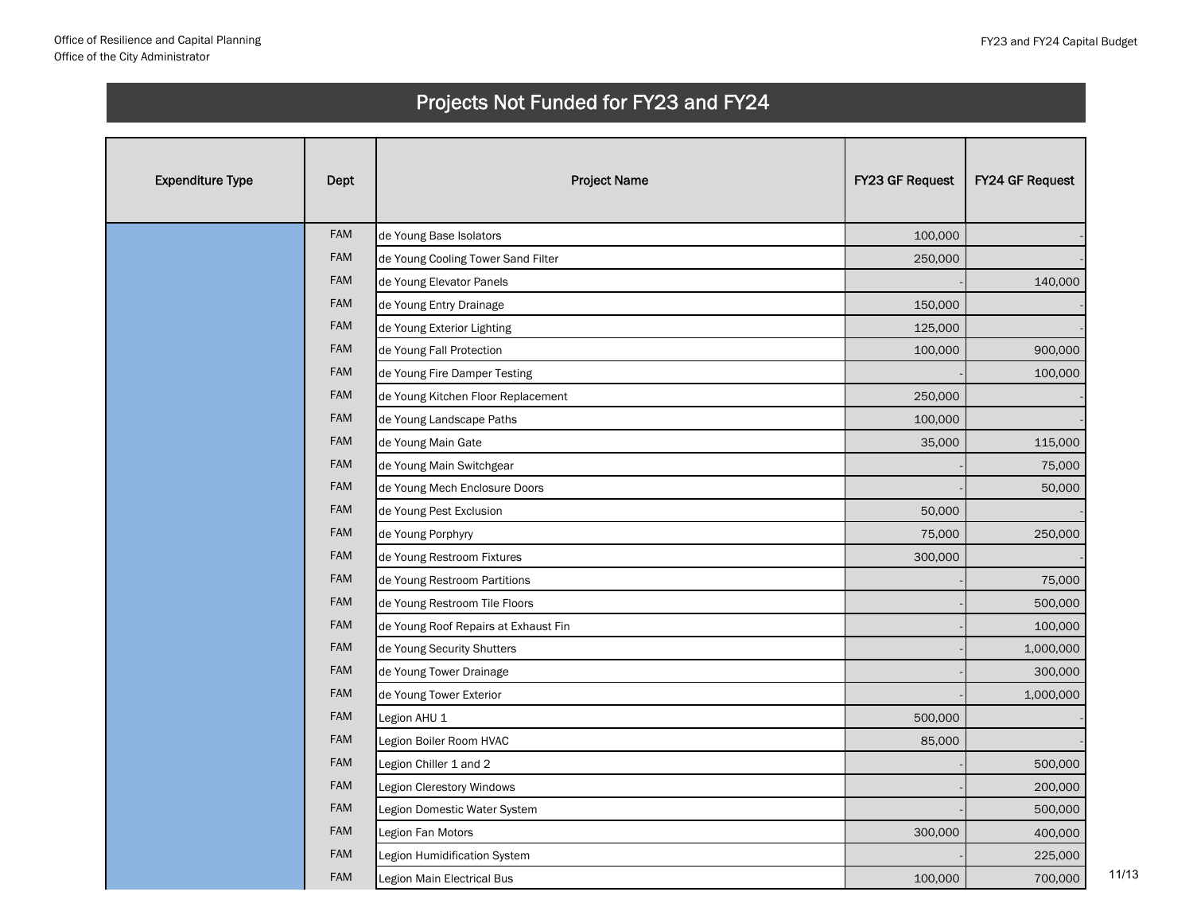| <b>Expenditure Type</b> | Dept       | <b>Project Name</b>                  | FY23 GF Request | FY24 GF Request |
|-------------------------|------------|--------------------------------------|-----------------|-----------------|
|                         | <b>FAM</b> | de Young Base Isolators              | 100,000         |                 |
|                         | FAM        | de Young Cooling Tower Sand Filter   | 250,000         |                 |
|                         | FAM        | de Young Elevator Panels             |                 | 140,000         |
|                         | FAM        | de Young Entry Drainage              | 150,000         |                 |
|                         | FAM        | de Young Exterior Lighting           | 125,000         |                 |
|                         | <b>FAM</b> | de Young Fall Protection             | 100,000         | 900,000         |
|                         | <b>FAM</b> | de Young Fire Damper Testing         |                 | 100,000         |
|                         | FAM        | de Young Kitchen Floor Replacement   | 250,000         |                 |
|                         | FAM        | de Young Landscape Paths             | 100,000         |                 |
|                         | FAM        | de Young Main Gate                   | 35,000          | 115,000         |
|                         | FAM        | de Young Main Switchgear             |                 | 75,000          |
|                         | FAM        | de Young Mech Enclosure Doors        |                 | 50,000          |
|                         | FAM        | de Young Pest Exclusion              | 50,000          |                 |
|                         | <b>FAM</b> | de Young Porphyry                    | 75,000          | 250,000         |
|                         | <b>FAM</b> | de Young Restroom Fixtures           | 300,000         |                 |
|                         | FAM        | de Young Restroom Partitions         |                 | 75,000          |
|                         | FAM        | de Young Restroom Tile Floors        |                 | 500,000         |
|                         | FAM        | de Young Roof Repairs at Exhaust Fin |                 | 100,000         |
|                         | FAM        | de Young Security Shutters           |                 | 1,000,000       |
|                         | FAM        | de Young Tower Drainage              |                 | 300,000         |
|                         | FAM        | de Young Tower Exterior              |                 | 1,000,000       |
|                         | FAM        | Legion AHU 1                         | 500,000         |                 |
|                         | FAM        | Legion Boiler Room HVAC              | 85,000          |                 |
|                         | <b>FAM</b> | Legion Chiller 1 and 2               |                 | 500,000         |
|                         | <b>FAM</b> | Legion Clerestory Windows            |                 | 200,000         |
|                         | FAM        | Legion Domestic Water System         |                 | 500,000         |
|                         | FAM        | Legion Fan Motors                    | 300,000         | 400,000         |
|                         | FAM        | Legion Humidification System         |                 | 225,000         |
|                         | FAM        | Legion Main Electrical Bus           | 100,000         | 700,000         |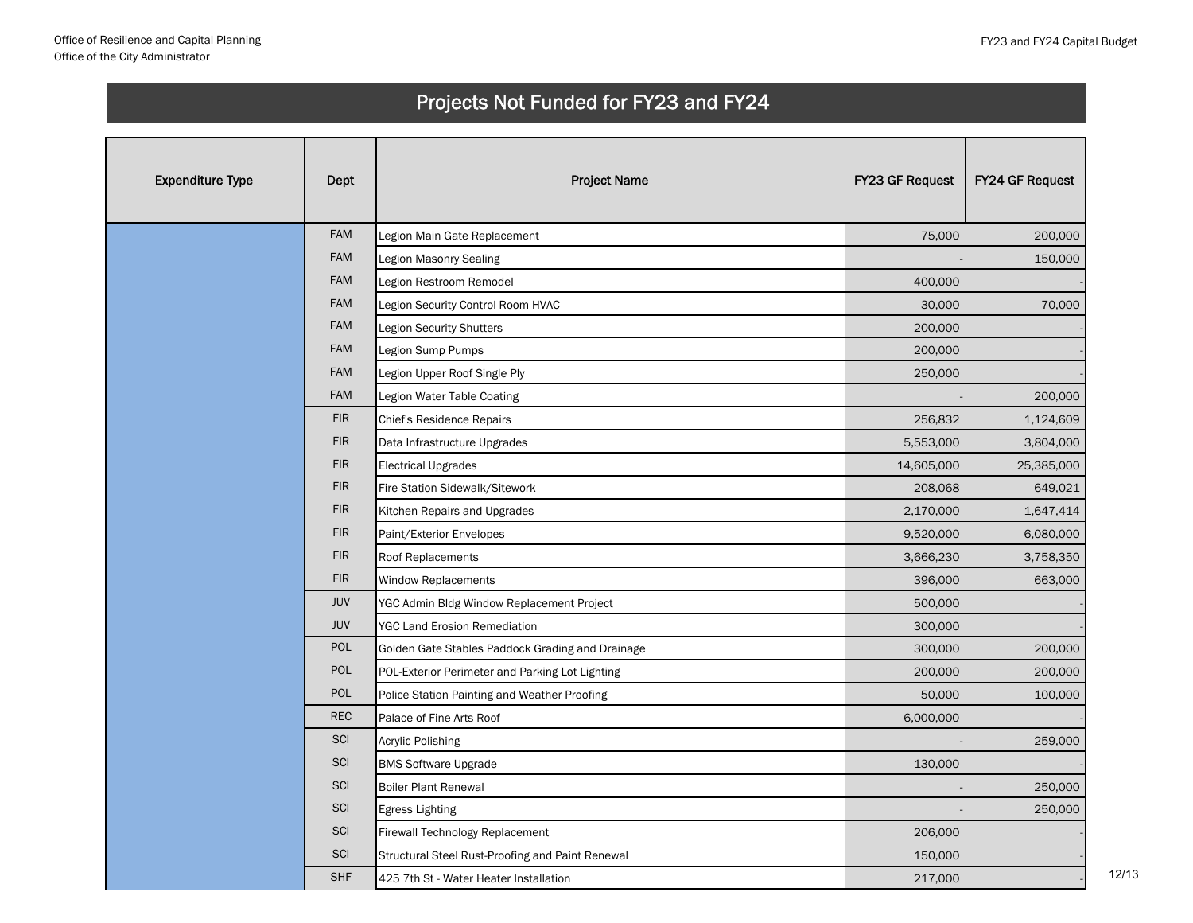| <b>Expenditure Type</b> | Dept       | <b>Project Name</b>                              | FY23 GF Request | FY24 GF Request |
|-------------------------|------------|--------------------------------------------------|-----------------|-----------------|
|                         | <b>FAM</b> | Legion Main Gate Replacement                     | 75,000          | 200,000         |
|                         | <b>FAM</b> | Legion Masonry Sealing                           |                 | 150,000         |
|                         | <b>FAM</b> | Legion Restroom Remodel                          | 400,000         |                 |
|                         | <b>FAM</b> | Legion Security Control Room HVAC                | 30,000          | 70,000          |
|                         | <b>FAM</b> | <b>Legion Security Shutters</b>                  | 200,000         |                 |
|                         | <b>FAM</b> | Legion Sump Pumps                                | 200,000         |                 |
|                         | FAM        | Legion Upper Roof Single Ply                     | 250,000         |                 |
|                         | <b>FAM</b> | Legion Water Table Coating                       |                 | 200,000         |
|                         | <b>FIR</b> | Chief's Residence Repairs                        | 256,832         | 1,124,609       |
|                         | <b>FIR</b> | Data Infrastructure Upgrades                     | 5,553,000       | 3,804,000       |
|                         | <b>FIR</b> | <b>Electrical Upgrades</b>                       | 14,605,000      | 25,385,000      |
|                         | <b>FIR</b> | Fire Station Sidewalk/Sitework                   | 208,068         | 649,021         |
|                         | <b>FIR</b> | Kitchen Repairs and Upgrades                     | 2,170,000       | 1,647,414       |
|                         | <b>FIR</b> | Paint/Exterior Envelopes                         | 9,520,000       | 6,080,000       |
|                         | <b>FIR</b> | Roof Replacements                                | 3,666,230       | 3,758,350       |
|                         | <b>FIR</b> | <b>Window Replacements</b>                       | 396,000         | 663,000         |
|                         | <b>JUV</b> | YGC Admin Bldg Window Replacement Project        | 500,000         |                 |
|                         | <b>JUV</b> | <b>YGC Land Erosion Remediation</b>              | 300,000         |                 |
|                         | <b>POL</b> | Golden Gate Stables Paddock Grading and Drainage | 300,000         | 200,000         |
|                         | POL        | POL-Exterior Perimeter and Parking Lot Lighting  | 200,000         | 200,000         |
|                         | POL        | Police Station Painting and Weather Proofing     | 50,000          | 100,000         |
|                         | <b>REC</b> | Palace of Fine Arts Roof                         | 6,000,000       |                 |
|                         | SCI        | Acrylic Polishing                                |                 | 259,000         |
|                         | SCI        | <b>BMS Software Upgrade</b>                      | 130,000         |                 |
|                         | SCI        | <b>Boiler Plant Renewal</b>                      |                 | 250,000         |
|                         | SCI        | <b>Egress Lighting</b>                           |                 | 250,000         |
|                         | SCI        | Firewall Technology Replacement                  | 206,000         |                 |
|                         | SCI        | Structural Steel Rust-Proofing and Paint Renewal | 150,000         |                 |
|                         | <b>SHF</b> | 425 7th St - Water Heater Installation           | 217,000         |                 |